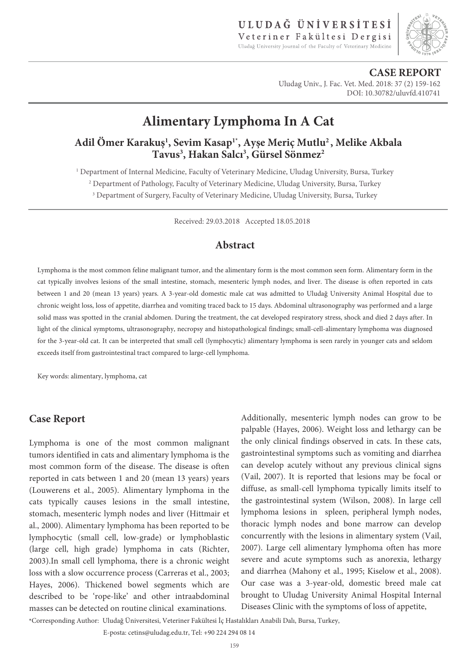

**CASE REPORT** Uludag Univ., J. Fac. Vet. Med. 2018: 37 (2) 159-162 DOI: 10.30782/uluvfd.410741

# **Alimentary Lymphoma In A Cat**

**Adil Ömer Karakuş<sup>1</sup> , Sevim Kasap1\*, Ayşe Meriç Mutlu<sup>2</sup>, Melike Akbala Tavus<sup>3</sup> , Hakan Salcı<sup>3</sup> , Gürsel Sönmez<sup>2</sup>**

1 Department of Internal Medicine, Faculty of Veterinary Medicine, Uludag University, Bursa, Turkey <sup>2</sup> Department of Pathology, Faculty of Veterinary Medicine, Uludag University, Bursa, Turkey <sup>3</sup> Department of Surgery, Faculty of Veterinary Medicine, Uludag University, Bursa, Turkey

Received: 29.03.2018 Accepted 18.05.2018

## **Abstract**

Lymphoma is the most common feline malignant tumor, and the alimentary form is the most common seen form. Alimentary form in the cat typically involves lesions of the small intestine, stomach, mesenteric lymph nodes, and liver. The disease is often reported in cats between 1 and 20 (mean 13 years) years. A 3-year-old domestic male cat was admitted to Uludağ University Animal Hospital due to chronic weight loss, loss of appetite, diarrhea and vomiting traced back to 15 days. Abdominal ultrasonography was performed and a large solid mass was spotted in the cranial abdomen. During the treatment, the cat developed respiratory stress, shock and died 2 days after. In light of the clinical symptoms, ultrasonography, necropsy and histopathological findings; small-cell-alimentary lymphoma was diagnosed for the 3-year-old cat. It can be interpreted that small cell (lymphocytic) alimentary lymphoma is seen rarely in younger cats and seldom exceeds itself from gastrointestinal tract compared to large-cell lymphoma.

Key words: alimentary, lymphoma, cat

## **Case Report**

Lymphoma is one of the most common malignant tumors identified in cats and alimentary lymphoma is the most common form of the disease. The disease is often reported in cats between 1 and 20 (mean 13 years) years (Louwerens et al., 2005). Alimentary lymphoma in the cats typically causes lesions in the small intestine, stomach, mesenteric lymph nodes and liver (Hittmair et al., 2000). Alimentary lymphoma has been reported to be lymphocytic (small cell, low-grade) or lymphoblastic (large cell, high grade) lymphoma in cats (Richter, 2003).In small cell lymphoma, there is a chronic weight loss with a slow occurrence process (Carreras et al., 2003; Hayes, 2006). Thickened bowel segments which are described to be 'rope-like' and other intraabdominal masses can be detected on routine clinical examinations.

Additionally, mesenteric lymph nodes can grow to be palpable (Hayes, 2006). Weight loss and lethargy can be the only clinical findings observed in cats. In these cats, gastrointestinal symptoms such as vomiting and diarrhea can develop acutely without any previous clinical signs (Vail, 2007). It is reported that lesions may be focal or diffuse, as small-cell lymphoma typically limits itself to the gastrointestinal system (Wilson, 2008). In large cell lymphoma lesions in spleen, peripheral lymph nodes, thoracic lymph nodes and bone marrow can develop concurrently with the lesions in alimentary system (Vail, 2007). Large cell alimentary lymphoma often has more severe and acute symptoms such as anorexia, lethargy and diarrhea (Mahony et al., 1995; Kiselow et al., 2008). Our case was a 3-year-old, domestic breed male cat brought to Uludag University Animal Hospital Internal Diseases Clinic with the symptoms of loss of appetite,

\*Corresponding Author: Uludağ Üniversitesi, Veteriner Fakültesi İç Hastalıkları Anabili Dalı, Bursa, Turkey,

E-posta: cetins@uludag.edu.tr, Tel: +90 224 294 08 14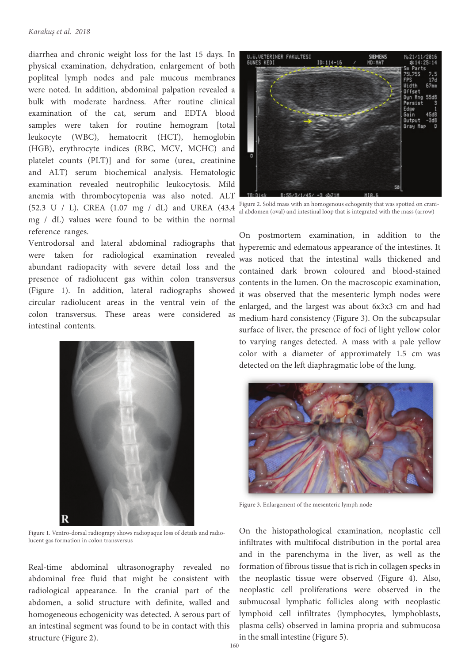#### *Karakuş et al. 2018*

diarrhea and chronic weight loss for the last 15 days. In physical examination, dehydration, enlargement of both popliteal lymph nodes and pale mucous membranes were noted. In addition, abdominal palpation revealed a bulk with moderate hardness. After routine clinical examination of the cat, serum and EDTA blood samples were taken for routine hemogram [total leukocyte (WBC), hematocrit (HCT), hemoglobin (HGB), erythrocyte indices (RBC, MCV, MCHC) and platelet counts (PLT)] and for some (urea, creatinine and ALT) serum biochemical analysis. Hematologic examination revealed neutrophilic leukocytosis. Mild anemia with thrombocytopenia was also noted. ALT (52.3 U / L), CREA (1.07 mg / dL) and UREA (43,4 mg / dL) values were found to be within the normal reference ranges.

Ventrodorsal and lateral abdominal radiographs that were taken for radiological examination revealed abundant radiopacity with severe detail loss and the presence of radiolucent gas within colon transversus (Figure 1). In addition, lateral radiographs showed circular radiolucent areas in the ventral vein of the colon transversus. These areas were considered as intestinal contents.



Figure 1. Ventro-dorsal radiograpy shows radiopaque loss of details and radiolucent gas formation in colon transversus

Real-time abdominal ultrasonography revealed no abdominal free fluid that might be consistent with radiological appearance. In the cranial part of the abdomen, a solid structure with definite, walled and homogeneous echogenicity was detected. A serous part of an intestinal segment was found to be in contact with this structure (Figure 2).



Figure 2. Solid mass with an homogenous echogenity that was spotted on cranial abdomen (oval) and intestinal loop that is integrated with the mass (arrow)

On postmortem examination, in addition to the hyperemic and edematous appearance of the intestines. It was noticed that the intestinal walls thickened and contained dark brown coloured and blood-stained contents in the lumen. On the macroscopic examination, it was observed that the mesenteric lymph nodes were enlarged, and the largest was about 6x3x3 cm and had medium-hard consistency (Figure 3). On the subcapsular surface of liver, the presence of foci of light yellow color to varying ranges detected. A mass with a pale yellow color with a diameter of approximately 1.5 cm was detected on the left diaphragmatic lobe of the lung.



Figure 3. Enlargement of the mesenteric lymph node

On the histopathological examination, neoplastic cell infiltrates with multifocal distribution in the portal area and in the parenchyma in the liver, as well as the formation of fibrous tissue that is rich in collagen specks in the neoplastic tissue were observed (Figure 4). Also, neoplastic cell proliferations were observed in the submucosal lymphatic follicles along with neoplastic lymphoid cell infiltrates (lymphocytes, lymphoblasts, plasma cells) observed in lamina propria and submucosa in the small intestine (Figure 5).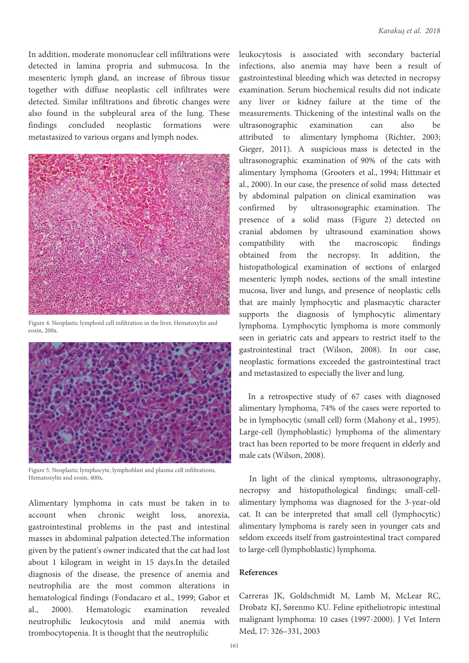In addition, moderate mononuclear cell infiltrations were detected in lamina propria and submucosa. In the mesenteric lymph gland, an increase of fibrous tissue together with diffuse neoplastic cell infiltrates were detected. Similar infiltrations and fibrotic changes were also found in the subpleural area of the lung. These findings concluded neoplastic formations were metastasized to various organs and lymph nodes.



Figure 4. Neoplastic lymphoid cell infiltration in the liver, Hematoxylin and  $\overline{e}$ osin, 200x.



Figure 5. Neoplastic lymphocyte, lymphoblast and plasma cell infiltrations, Hematoxylin and eosin, 400x.

Alimentary lymphoma in cats must be taken in to account when chronic weight loss, anorexia, gastrointestinal problems in the past and intestinal masses in abdominal palpation detected.The information given by the patient's owner indicated that the cat had lost about 1 kilogram in weight in 15 days.In the detailed diagnosis of the disease, the presence of anemia and neutrophilia are the most common alterations in hematological findings (Fondacaro et al., 1999; Gabor et al., 2000). Hematologic examination revealed neutrophilic leukocytosis and mild anemia with trombocytopenia. It is thought that the neutrophilic

leukocytosis is associated with secondary bacterial infections, also anemia may have been a result of gastrointestinal bleeding which was detected in necropsy examination. Serum biochemical results did not indicate any liver or kidney failure at the time of the measurements. Thickening of the intestinal walls on the ultrasonographic examination can also be attributed to alimentary lymphoma (Richter, 2003; Gieger, 2011). A suspicious mass is detected in the ultrasonographic examination of 90% of the cats with alimentary lymphoma (Grooters et al., 1994; Hittmair et al., 2000). In our case, the presence of solid mass detected by abdominal palpation on clinical examination was confirmed by ultrasonographic examination. The presence of a solid mass (Figure 2) detected on cranial abdomen by ultrasound examination shows compatibility with the macroscopic findings obtained from the necropsy. In addition, the histopathological examination of sections of enlarged mesenteric lymph nodes, sections of the small intestine mucosa, liver and lungs, and presence of neoplastic cells that are mainly lymphocytic and plasmacytic character supports the diagnosis of lymphocytic alimentary lymphoma. Lymphocytic lymphoma is more commonly seen in geriatric cats and appears to restrict itself to the gastrointestinal tract (Wilson, 2008). In our case, neoplastic formations exceeded the gastrointestinal tract and metastasized to especially the liver and lung.

In a retrospective study of 67 cases with diagnosed alimentary lymphoma, 74% of the cases were reported to be in lymphocytic (small cell) form (Mahony et al., 1995). Large-cell (lymphoblastic) lymphoma of the alimentary tract has been reported to be more frequent in elderly and male cats (Wilson, 2008).

In light of the clinical symptoms, ultrasonography, necropsy and histopathological findings; small-cellalimentary lymphoma was diagnosed for the 3-year-old cat. It can be interpreted that small cell (lymphocytic) alimentary lymphoma is rarely seen in younger cats and seldom exceeds itself from gastrointestinal tract compared to large-cell (lymphoblastic) lymphoma.

#### **References**

Carreras JK, Goldschmidt M, Lamb M, McLear RC, Drobatz KJ, Sørenmo KU. Feline epitheliotropic intestinal malignant lymphoma: 10 cases (1997-2000). J Vet Intern Med, 17: 326–331, 2003